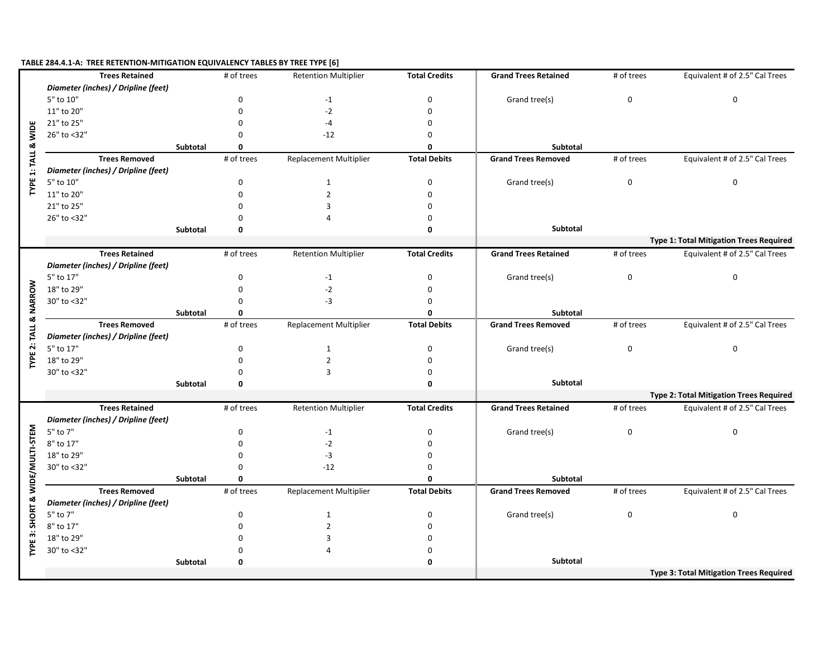## **TABLE 284.4.1-A: TREE RETENTION-MITIGATION EQUIVALENCY TABLES BY TREE TYPE [6]**

|                                 | <b>Trees Retained</b>               |                 | # of trees  | <b>Retention Multiplier</b> | <b>Total Credits</b> | <b>Grand Trees Retained</b> | # of trees  | Equivalent # of 2.5" Cal Trees                 |
|---------------------------------|-------------------------------------|-----------------|-------------|-----------------------------|----------------------|-----------------------------|-------------|------------------------------------------------|
|                                 | Diameter (inches) / Dripline (feet) |                 |             |                             |                      |                             |             |                                                |
|                                 | 5" to 10"                           |                 | $\mathbf 0$ | $-1$                        | 0                    | Grand tree(s)               | 0           | 0                                              |
|                                 | 11" to 20"                          |                 | $\Omega$    | $-2$                        | $\Omega$             |                             |             |                                                |
|                                 | 21" to 25"                          |                 | $\Omega$    | -4                          | 0                    |                             |             |                                                |
|                                 | 26" to <32"                         |                 | $\Omega$    | $-12$                       | 0                    |                             |             |                                                |
|                                 |                                     | Subtotal        | 0           |                             | 0                    | Subtotal                    |             |                                                |
|                                 | <b>Trees Removed</b>                |                 | # of trees  | Replacement Multiplier      | <b>Total Debits</b>  | <b>Grand Trees Removed</b>  | # of trees  | Equivalent # of 2.5" Cal Trees                 |
| TYPE 1: TALL & WIDE             | Diameter (inches) / Dripline (feet) |                 |             |                             |                      |                             |             |                                                |
|                                 | 5" to 10"                           |                 | $\mathbf 0$ | $\mathbf{1}$                | 0                    | Grand tree(s)               | $\mathbf 0$ | 0                                              |
|                                 | 11" to 20"                          |                 | $\Omega$    | $\overline{2}$              | 0                    |                             |             |                                                |
|                                 | 21" to 25"                          |                 | $\Omega$    | 3                           | 0                    |                             |             |                                                |
|                                 | 26" to <32"                         |                 | $\Omega$    | $\Delta$                    | 0                    |                             |             |                                                |
|                                 |                                     | Subtotal        | $\mathbf 0$ |                             | 0                    | Subtotal                    |             |                                                |
|                                 |                                     |                 |             |                             |                      |                             |             | <b>Type 1: Total Mitigation Trees Required</b> |
|                                 | <b>Trees Retained</b>               |                 | # of trees  | <b>Retention Multiplier</b> | <b>Total Credits</b> | <b>Grand Trees Retained</b> | # of trees  | Equivalent # of 2.5" Cal Trees                 |
|                                 | Diameter (inches) / Dripline (feet) |                 |             |                             |                      |                             |             |                                                |
|                                 | 5" to 17"                           |                 | 0           | $-1$                        | 0                    | Grand tree(s)               | $\mathbf 0$ | 0                                              |
|                                 | 18" to 29"                          |                 | $\Omega$    | $-2$                        | 0                    |                             |             |                                                |
|                                 | 30" to <32"                         |                 | $\Omega$    | $-3$                        | 0                    |                             |             |                                                |
| TALL & NARROW                   |                                     | Subtotal        | $\Omega$    |                             | O                    | Subtotal                    |             |                                                |
|                                 | <b>Trees Removed</b>                |                 | # of trees  | Replacement Multiplier      | <b>Total Debits</b>  | <b>Grand Trees Removed</b>  | # of trees  | Equivalent # of 2.5" Cal Trees                 |
|                                 | Diameter (inches) / Dripline (feet) |                 |             |                             |                      |                             |             |                                                |
| TYPE 2:                         | 5" to 17"                           |                 | 0           | $\mathbf{1}$                | 0                    | Grand tree(s)               | $\mathbf 0$ | 0                                              |
|                                 | 18" to 29"                          |                 | $\mathbf 0$ | $\overline{2}$              | 0                    |                             |             |                                                |
|                                 | 30" to <32"                         |                 | $\Omega$    | $\overline{3}$              | 0                    |                             |             |                                                |
|                                 |                                     | <b>Subtotal</b> | 0           |                             | 0                    | Subtotal                    |             |                                                |
|                                 |                                     |                 |             |                             |                      |                             |             | Type 2: Total Mitigation Trees Required        |
|                                 | <b>Trees Retained</b>               |                 | # of trees  | <b>Retention Multiplier</b> | <b>Total Credits</b> | <b>Grand Trees Retained</b> | # of trees  | Equivalent # of 2.5" Cal Trees                 |
|                                 | Diameter (inches) / Dripline (feet) |                 |             |                             |                      |                             |             |                                                |
|                                 | 5" to 7"                            |                 | $\mathbf 0$ | $-1$                        | 0                    | Grand tree(s)               | 0           | 0                                              |
|                                 | 8" to 17"                           |                 | $\Omega$    | $-2$                        | $\Omega$             |                             |             |                                                |
|                                 | 18" to 29"                          |                 | $\Omega$    | $-3$                        | 0                    |                             |             |                                                |
|                                 | 30" to <32"                         |                 | $\Omega$    | $-12$                       | 0                    |                             |             |                                                |
|                                 |                                     | Subtotal        | $\Omega$    |                             | 0                    | Subtotal                    |             |                                                |
|                                 | <b>Trees Removed</b>                |                 | # of trees  | Replacement Multiplier      | <b>Total Debits</b>  | <b>Grand Trees Removed</b>  | # of trees  | Equivalent # of 2.5" Cal Trees                 |
|                                 | Diameter (inches) / Dripline (feet) |                 |             |                             |                      |                             |             |                                                |
|                                 | 5" to 7"                            |                 | $\mathbf 0$ | $\mathbf{1}$                | 0                    | Grand tree(s)               | $\mathbf 0$ | 0                                              |
| TYPE 3: SHORT & WIDE/MULTI-STEM | 8" to 17"                           |                 | $\mathbf 0$ | $\overline{2}$              | 0                    |                             |             |                                                |
|                                 | 18" to 29"                          |                 | $\Omega$    | 3                           | 0                    |                             |             |                                                |
|                                 | 30" to <32"                         |                 | $\Omega$    | $\overline{a}$              | 0                    |                             |             |                                                |
|                                 |                                     | Subtotal        | $\mathbf 0$ |                             | 0                    | Subtotal                    |             |                                                |
|                                 |                                     |                 |             |                             |                      |                             |             | <b>Type 3: Total Mitigation Trees Required</b> |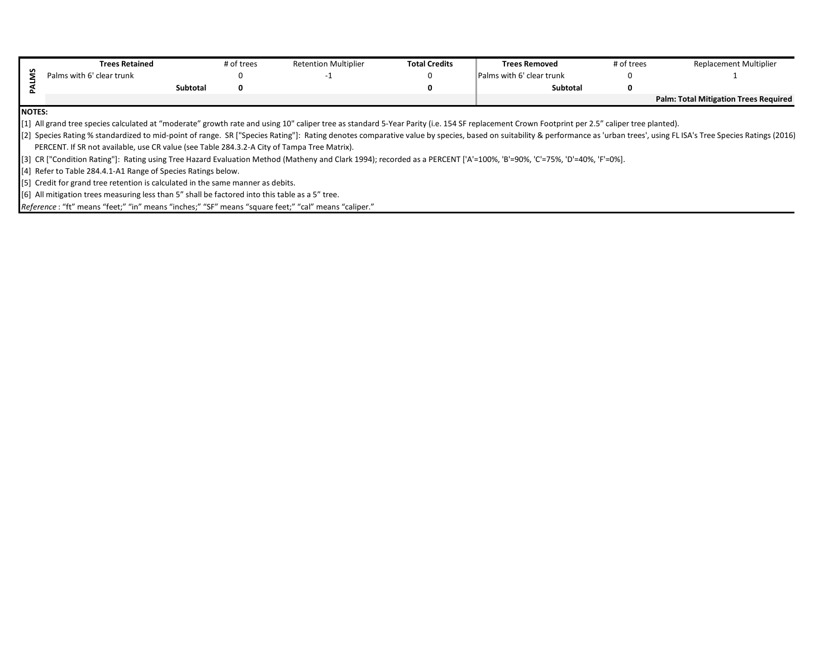| <b>Trees Retained</b>                                                                                                                                                                                                        | # of trees | <b>Retention Multiplier</b> | <b>Total Credits</b> | <b>Trees Removed</b>      | # of trees | <b>Replacement Multiplier</b>                |  |
|------------------------------------------------------------------------------------------------------------------------------------------------------------------------------------------------------------------------------|------------|-----------------------------|----------------------|---------------------------|------------|----------------------------------------------|--|
| Palms with 6' clear trunk                                                                                                                                                                                                    |            |                             |                      | Palms with 6' clear trunk |            |                                              |  |
|                                                                                                                                                                                                                              | Subtotal   |                             |                      | <b>Subtotal</b>           |            |                                              |  |
|                                                                                                                                                                                                                              |            |                             |                      |                           |            | <b>Palm: Total Mitigation Trees Required</b> |  |
| <b>NOTES:</b>                                                                                                                                                                                                                |            |                             |                      |                           |            |                                              |  |
| [1] All grand tree species calculated at "moderate" growth rate and using 10" caliper tree as standard 5-Year Parity (i.e. 154 SF replacement Crown Footprint per 2.5" caliper tree planted).                                |            |                             |                      |                           |            |                                              |  |
| [2] Species Rating % standardized to mid-point of range. SR ["Species Rating"]: Rating denotes comparative value by species, based on suitability & performance as 'urban trees', using FL ISA's Tree Species Ratings (2016) |            |                             |                      |                           |            |                                              |  |
| PERCENT. If SR not available, use CR value (see Table 284.3.2-A City of Tampa Tree Matrix).                                                                                                                                  |            |                             |                      |                           |            |                                              |  |
| [3] CR ["Condition Rating"]: Rating using Tree Hazard Evaluation Method (Matheny and Clark 1994); recorded as a PERCENT ['A'=100%, 'B'=90%, 'C'=75%, 'D'=40%, 'F'=0%].                                                       |            |                             |                      |                           |            |                                              |  |
| [4] Refer to Table 284.4.1-A1 Range of Species Ratings below.                                                                                                                                                                |            |                             |                      |                           |            |                                              |  |
| [5] Credit for grand tree retention is calculated in the same manner as debits.                                                                                                                                              |            |                             |                      |                           |            |                                              |  |
| [6] All mitigation trees measuring less than 5" shall be factored into this table as a 5" tree.                                                                                                                              |            |                             |                      |                           |            |                                              |  |
| Reference: "ft" means "feet;" "in" means "inches;" "SF" means "square feet;" "cal" means "caliper."                                                                                                                          |            |                             |                      |                           |            |                                              |  |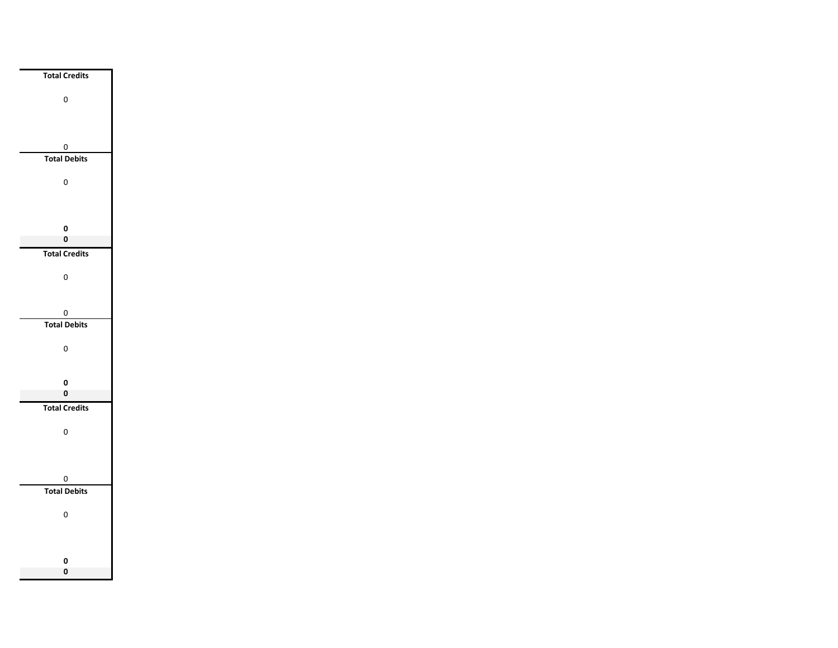